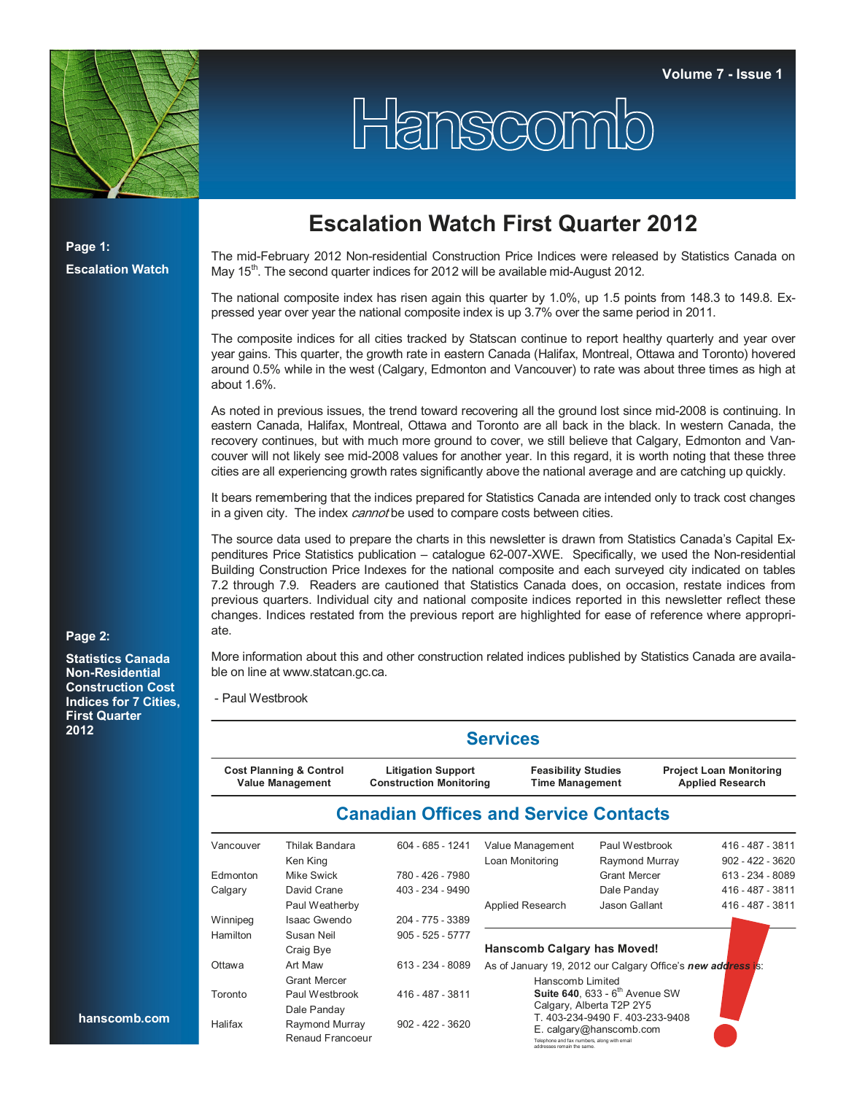

## Hanscomio

**Page 1: Escalation Watch**

## **Escalation Watch First Quarter 2012**

The mid-February 2012 Non-residential Construction Price Indices were released by Statistics Canada on May 15<sup>th</sup>. The second quarter indices for 2012 will be available mid-August 2012.

The national composite index has risen again this quarter by 1.0%, up 1.5 points from 148.3 to 149.8. Expressed year over year the national composite index is up 3.7% over the same period in 2011.

The composite indices for all cities tracked by Statscan continue to report healthy quarterly and year over year gains. This quarter, the growth rate in eastern Canada (Halifax, Montreal, Ottawa and Toronto) hovered around 0.5% while in the west (Calgary, Edmonton and Vancouver) to rate was about three times as high at about 1.6%.

As noted in previous issues, the trend toward recovering all the ground lost since mid-2008 is continuing. In eastern Canada, Halifax, Montreal, Ottawa and Toronto are all back in the black. In western Canada, the recovery continues, but with much more ground to cover, we still believe that Calgary, Edmonton and Vancouver will not likely see mid-2008 values for another year. In this regard, it is worth noting that these three cities are all experiencing growth rates significantly above the national average and are catching up quickly.

It bears remembering that the indices prepared for Statistics Canada are intended only to track cost changes in a given city. The index *cannot* be used to compare costs between cities.

The source data used to prepare the charts in this newsletter is drawn from Statistics Canada's Capital Expenditures Price Statistics publication – catalogue 62-007-XWE. Specifically, we used the Non-residential Building Construction Price Indexes for the national composite and each surveyed city indicated on tables 7.2 through 7.9. Readers are cautioned that Statistics Canada does, on occasion, restate indices from previous quarters. Individual city and national composite indices reported in this newsletter reflect these changes. Indices restated from the previous report are highlighted for ease of reference where appropriate.

## **Page 2:**

**Statistics Canada Non-Residential Construction Cost Indices for 7 Cities, First Quarter 2012**

**hanscomb.com**

More information about this and other construction related indices published by Statistics Canada are available on line at www.statcan.gc.ca.

- Paul Westbrook

|           |                                                               |                                                             | <b>Services</b>                                                           |                                                              |                                                           |  |  |
|-----------|---------------------------------------------------------------|-------------------------------------------------------------|---------------------------------------------------------------------------|--------------------------------------------------------------|-----------------------------------------------------------|--|--|
|           | <b>Cost Planning &amp; Control</b><br><b>Value Management</b> | <b>Litigation Support</b><br><b>Construction Monitoring</b> | <b>Feasibility Studies</b><br><b>Time Management</b>                      |                                                              | <b>Project Loan Monitoring</b><br><b>Applied Research</b> |  |  |
|           |                                                               | <b>Canadian Offices and Service Contacts</b>                |                                                                           |                                                              |                                                           |  |  |
| Vancouver | Thilak Bandara<br>Ken King                                    | $604 - 685 - 1241$                                          | Value Management<br>Loan Monitoring                                       | Paul Westbrook<br>Raymond Murray                             | 416 - 487 - 3811<br>$902 - 422 - 3620$                    |  |  |
| Edmonton  | Mike Swick                                                    | 780 - 426 - 7980                                            |                                                                           | <b>Grant Mercer</b>                                          | 613 - 234 - 8089                                          |  |  |
| Calgary   | David Crane                                                   | 403 - 234 - 9490                                            |                                                                           | Dale Panday                                                  | 416 - 487 - 3811                                          |  |  |
|           | Paul Weatherby                                                |                                                             | Applied Research                                                          | Jason Gallant                                                | 416 - 487 - 3811                                          |  |  |
| Winnipeg  | <b>Isaac Gwendo</b>                                           | 204 - 775 - 3389                                            |                                                                           |                                                              |                                                           |  |  |
| Hamilton  | Susan Neil                                                    | $905 - 525 - 5777$                                          |                                                                           |                                                              |                                                           |  |  |
|           | Craig Bye                                                     |                                                             | Hanscomb Calgary has Moved!                                               |                                                              |                                                           |  |  |
| Ottawa    | Art Maw                                                       | 613 - 234 - 8089                                            | As of January 19, 2012 our Calgary Office's new address is:               |                                                              |                                                           |  |  |
|           | <b>Grant Mercer</b>                                           |                                                             | Hanscomb Limited                                                          |                                                              |                                                           |  |  |
| Toronto   | Paul Westbrook<br>Dale Panday                                 | 416 - 487 - 3811                                            |                                                                           | Suite 640, 633 - $6th$ Avenue SW<br>Calgary, Alberta T2P 2Y5 |                                                           |  |  |
| Halifax   | Raymond Murray<br>Renaud Francoeur                            | $902 - 422 - 3620$                                          | Telephone and fax numbers, along with email<br>addresses remain the same. | T. 403-234-9490 F. 403-233-9408<br>E. calgary@hanscomb.com   |                                                           |  |  |